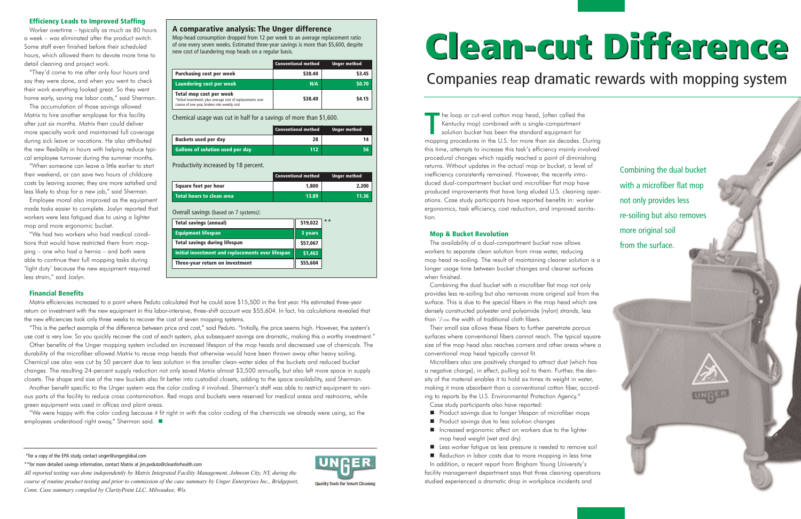T he loop or cut-end cotton mop head, (often called the Kentucky mop) combined with a single-compartment solution bucket has been the standard equipment for mopping procedures in the U.S. for more than six decades. During this time, attempts to increase this task's efficiency mainly involved procedural changes which rapidly reached a point of diminishing returns. Without updates in the actual mop or bucket, a level of inefficiency consistently remained. However, the recently introduced dual-compartment bucket and microfiber flat mop have produced improvements that have long eluded U.S. cleaning operations. Case study participants have reported benefits in: worker ergonomics, task efficiency, cost reduction, and improved sanitation.

#### **Mop & Bucket Revolution**

The availability of a dual-compartment bucket now allows workers to separate clean solution from rinse water, reducing mop head re-soiling. The result of maintaining cleaner solution is a longer usage time between bucket changes and cleaner surfaces when finished.

Combining the dual bucket with a microfiber flat mop not only provides less re-soiling but also removes more original soil from the surface. This is due to the special fibers in the mop head which are densely constructed polyester and polyamide (nylon) strands, less than 1 /100th the width of traditional cloth fibers.

Their small size allows these fibers to further penetrate porous surfaces where conventional fibers cannot reach. The typical square size of the mop head also reaches corners and other areas where a conventional mop head typically cannot fit.

Microfibers also are positively charged to attract dust (which has a negative charge), in effect, pulling soil to them. Further, the density of the material enables it to hold six times its weight in water, making it more absorbent than a conventional cotton fiber, according to reports by the U.S. Environmental Protection Agency.\*

Case study participants also have reported:

- **Product savings due to longer lifespan of microfiber mops**
- **Product savings due to less solution changes**
- Increased ergonomic affect on workers due to the lighter mop head weight (wet and dry)
- Less worker fatigue as less pressure is needed to remove soil

Reduction in labor costs due to more mopping in less time

In addition, a recent report from Brigham Young University's facility management department says that three cleaning operations studied experienced a dramatic drop in workplace incidents and

**Quality Tools for Smart Cleaning** 

#### **Efficiency Leads to Improved Staffing**

Worker overtime – typically as much as 80 hours a week – was eliminated after the product switch. Some staff even finished before their scheduled hours, which allowed them to devote more time to detail cleaning and project work.

"They'd come to me after only four hours and say they were done, and when you went to check their work everything looked great. So they went home early, saving me labor costs," said Sherman.

# **Clean-cut Difference Clean-cut Difference**

The accumulation of those savings allowed Matrix to hire another employee for this facility after just six months. Matrix then could deliver more specialty work and maintained full coverage during sick leave or vacations. He also attributed the new flexibility in hours with helping reduce typical employee turnover during the summer months.

"When someone can leave a little earlier to start their weekend, or can save two hours of childcare costs by leaving sooner, they are more satisfied and less likely to shop for a new job," said Sherman.

Employee moral also improved as the equipment made tasks easier to complete. Joslyn reported that workers were less fatigued due to using a lighter mop and more ergonomic bucket.

"We had two workers who had medical conditions that would have restricted them from mop<sup>p</sup>ing – one who had a hernia – and both were able to continue their full mopping tasks during 'light duty' because the new equipment required less strain," said Joslyn.

#### **Financial Benefits**

Matrix efficiencies increased to a point where Peduto calculated that he could save \$15,500 in the first year. His estimated three-year return on investment with the new equipment in this labor-intensive, three-shift account was \$55,604. In fact, his calculations revealed that the new efficiencies took only three weeks to recover the cost of seven mopping systems.

"This is the perfect example of the difference between price and cost," said Peduto. "Initially, the price seems high. However, the system's use cost is very low. So you quickly recover the cost of each system, plus subsequent savings are dramatic, making this a worthy investment."

Other benefits of the Unger mopping system included an increased lifespan of the mop heads and decreased use of chemicals. The durability of the microfiber allowed Matrix to reuse mop heads that otherwise would have been thrown away after heavy soiling. Chemical use also was cut by 50 percent due to less solution in the smaller clean-water sides of the buckets and reduced bucket changes. The resulting 24-percent supply reduction not only saved Matrix almost \$3,500 annually, but also left more space in supply closets. The shape and size of the new buckets also fit better into custodial closets, adding to the space availability, said Sherman.

Another benefit specific to the Unger system was the color coding it involved. Sherman's staff was able to restrict equipment to various parts of the facility to reduce cross contamination. Red mops and buckets were reserved for medical areas and restrooms, while green equipment was used in offices and plant areas.

"We were happy with the color coding because it fit right in with the color coding of the chemicals we already were using, so the employees understood right away," Sherman said.

\*for a copy of the EPA study, contact unger@ungerglobal.com

\*\*for more detailed savings information, contact Matrix at jim.peduto@cleanforhealth.com

*All reported testing was done independently by Matrix Integrated Facility Management, Johnson City, NY, during the course of routine product testing and prior to commission of the case summary by Unger Enterprises Inc., Bridgeport, Conn. Case summary compiled by ClarityPoint LLC, Milwaukee, Wis.*



### Companies reap dramatic rewards with mopping system

#### **A comparative analysis: The Unger difference**

Mop-head consumption dropped from 12 per week to an average replacement ratio of one every seven weeks. Estimated three-year savings is more than \$5,600, despite new cost of laundering mop heads on a regular basis.

|                                                                                                                                       | <b>Conventional method</b> | <b>Unger method</b> |
|---------------------------------------------------------------------------------------------------------------------------------------|----------------------------|---------------------|
| <b>Purchasing cost per week</b>                                                                                                       | \$38.40                    | \$3.45              |
| Laundering cost per week                                                                                                              | N/A                        | \$0.70              |
| Total mop cost per week<br>*Initial investment, plus average cost of replacements over<br>course of one year, broken into weekly cost | \$38.40                    | \$4.15              |

Chemical usage was cut in half for a savings of more than \$1,600.

|                                         | <b>Conventional method</b> | <b>Unger method</b> |
|-----------------------------------------|----------------------------|---------------------|
| <b>Buckets used per day</b>             | 28                         | 14                  |
| <b>Gallons of solution used per day</b> | $112$                      | 56                  |
| Productivity increased by 18 percent.   |                            |                     |
|                                         | <b>Conventional method</b> | <b>Unger method</b> |
| Square feet per hour                    | 1.800                      | 2.200               |

| Total hours to clean area                         | 13.89    | 11.36 |
|---------------------------------------------------|----------|-------|
| Overall savings (based on 7 systems):             |          |       |
| <b>Total savings (annual)</b>                     | \$19,022 | $***$ |
| <b>Equipment lifespan</b>                         | 3 years  |       |
| <b>Total savings during lifespan</b>              | \$57,067 |       |
| Initial investment and replacements over lifespan | \$1,463  |       |
| Three-year return on investment                   | \$55,604 |       |
|                                                   |          |       |

Combining the dual bucket with a microfiber flat mop not only provides less re-soiling but also removes more original soil from the surface.